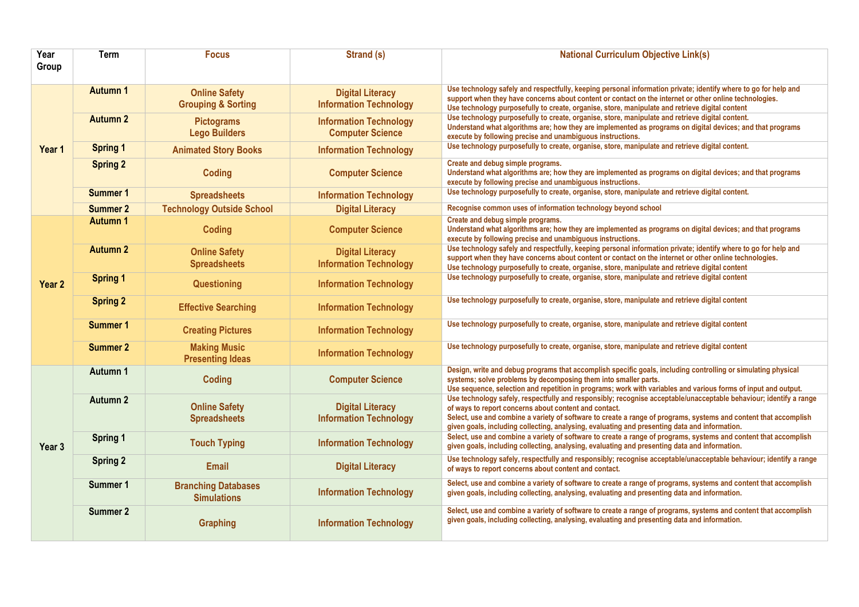| Year<br>Group | <b>Term</b>         | <b>Focus</b>                                          | Strand (s)                                               | <b>National Curriculum Objective Link(s)</b>                                                                                                                                                                                                                                                                                                                                                     |
|---------------|---------------------|-------------------------------------------------------|----------------------------------------------------------|--------------------------------------------------------------------------------------------------------------------------------------------------------------------------------------------------------------------------------------------------------------------------------------------------------------------------------------------------------------------------------------------------|
| Year 1        | <b>Autumn 1</b>     | <b>Online Safety</b><br><b>Grouping &amp; Sorting</b> | <b>Digital Literacy</b><br><b>Information Technology</b> | Use technology safely and respectfully, keeping personal information private; identify where to go for help and<br>support when they have concerns about content or contact on the internet or other online technologies.<br>Use technology purposefully to create, organise, store, manipulate and retrieve digital content                                                                     |
|               | <b>Autumn 2</b>     | <b>Pictograms</b><br><b>Lego Builders</b>             | <b>Information Technology</b><br><b>Computer Science</b> | Use technology purposefully to create, organise, store, manipulate and retrieve digital content.<br>Understand what algorithms are; how they are implemented as programs on digital devices; and that programs<br>execute by following precise and unambiguous instructions.                                                                                                                     |
|               | <b>Spring 1</b>     | <b>Animated Story Books</b>                           | <b>Information Technology</b>                            | Use technology purposefully to create, organise, store, manipulate and retrieve digital content.                                                                                                                                                                                                                                                                                                 |
|               | <b>Spring 2</b>     | <b>Coding</b>                                         | <b>Computer Science</b>                                  | Create and debug simple programs.<br>Understand what algorithms are; how they are implemented as programs on digital devices; and that programs<br>execute by following precise and unambiguous instructions.                                                                                                                                                                                    |
|               | <b>Summer 1</b>     | <b>Spreadsheets</b>                                   | <b>Information Technology</b>                            | Use technology purposefully to create, organise, store, manipulate and retrieve digital content.                                                                                                                                                                                                                                                                                                 |
|               | <b>Summer 2</b>     | <b>Technology Outside School</b>                      | <b>Digital Literacy</b>                                  | Recognise common uses of information technology beyond school                                                                                                                                                                                                                                                                                                                                    |
| Year 2        | <b>Autumn 1</b>     | <b>Coding</b>                                         | <b>Computer Science</b>                                  | Create and debug simple programs.<br>Understand what algorithms are; how they are implemented as programs on digital devices; and that programs<br>execute by following precise and unambiguous instructions.                                                                                                                                                                                    |
|               | <b>Autumn 2</b>     | <b>Online Safety</b><br><b>Spreadsheets</b>           | <b>Digital Literacy</b><br><b>Information Technology</b> | Use technology safely and respectfully, keeping personal information private; identify where to go for help and<br>support when they have concerns about content or contact on the internet or other online technologies.<br>Use technology purposefully to create, organise, store, manipulate and retrieve digital content                                                                     |
|               | <b>Spring 1</b>     | Questioning                                           | <b>Information Technology</b>                            | Use technology purposefully to create, organise, store, manipulate and retrieve digital content                                                                                                                                                                                                                                                                                                  |
|               | <b>Spring 2</b>     | <b>Effective Searching</b>                            | <b>Information Technology</b>                            | Use technology purposefully to create, organise, store, manipulate and retrieve digital content                                                                                                                                                                                                                                                                                                  |
|               | <b>Summer 1</b>     | <b>Creating Pictures</b>                              | <b>Information Technology</b>                            | Use technology purposefully to create, organise, store, manipulate and retrieve digital content                                                                                                                                                                                                                                                                                                  |
|               | <b>Summer 2</b>     | <b>Making Music</b><br><b>Presenting Ideas</b>        | <b>Information Technology</b>                            | Use technology purposefully to create, organise, store, manipulate and retrieve digital content                                                                                                                                                                                                                                                                                                  |
| Year 3        | Autumn 1            | Coding                                                | <b>Computer Science</b>                                  | Design, write and debug programs that accomplish specific goals, including controlling or simulating physical<br>systems; solve problems by decomposing them into smaller parts.<br>Use sequence, selection and repetition in programs; work with variables and various forms of input and output.                                                                                               |
|               | Autumn <sub>2</sub> | <b>Online Safety</b><br><b>Spreadsheets</b>           | <b>Digital Literacy</b><br><b>Information Technology</b> | Use technology safely, respectfully and responsibly; recognise acceptable/unacceptable behaviour; identify a range<br>of ways to report concerns about content and contact.<br>Select, use and combine a variety of software to create a range of programs, systems and content that accomplish<br>given goals, including collecting, analysing, evaluating and presenting data and information. |
|               | <b>Spring 1</b>     | <b>Touch Typing</b>                                   | <b>Information Technology</b>                            | Select, use and combine a variety of software to create a range of programs, systems and content that accomplish<br>given goals, including collecting, analysing, evaluating and presenting data and information.                                                                                                                                                                                |
|               | <b>Spring 2</b>     | <b>Email</b>                                          | <b>Digital Literacy</b>                                  | Use technology safely, respectfully and responsibly; recognise acceptable/unacceptable behaviour; identify a range<br>of ways to report concerns about content and contact.                                                                                                                                                                                                                      |
|               | <b>Summer 1</b>     | <b>Branching Databases</b><br><b>Simulations</b>      | <b>Information Technology</b>                            | Select, use and combine a variety of software to create a range of programs, systems and content that accomplish<br>given goals, including collecting, analysing, evaluating and presenting data and information.                                                                                                                                                                                |
|               | <b>Summer 2</b>     | <b>Graphing</b>                                       | <b>Information Technology</b>                            | Select, use and combine a variety of software to create a range of programs, systems and content that accomplish<br>given goals, including collecting, analysing, evaluating and presenting data and information.                                                                                                                                                                                |